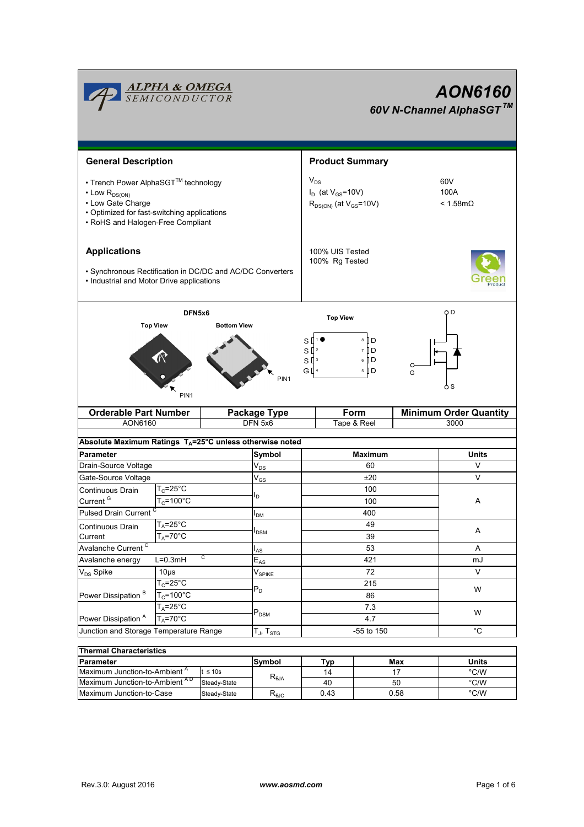

| THEITIM OHARCLEIBUCS                     |              |                 |      |      |       |  |  |  |  |  |
|------------------------------------------|--------------|-----------------|------|------|-------|--|--|--|--|--|
| <b>IParameter</b>                        |              | lSvmbol         | Typ  | Max  | Units |  |  |  |  |  |
| Maximum Junction-to-Ambient <sup>"</sup> | $\leq 10s$   |                 | 14   |      | °C/W  |  |  |  |  |  |
| Maximum Junction-to-Ambient AD           | Steady-State | $R_{\theta JA}$ | 40   | 50   | °C/W  |  |  |  |  |  |
| Maximum Junction-to-Case                 | Steady-State | $R_{0,IC}$      | 0.43 | 0.58 | °C/W  |  |  |  |  |  |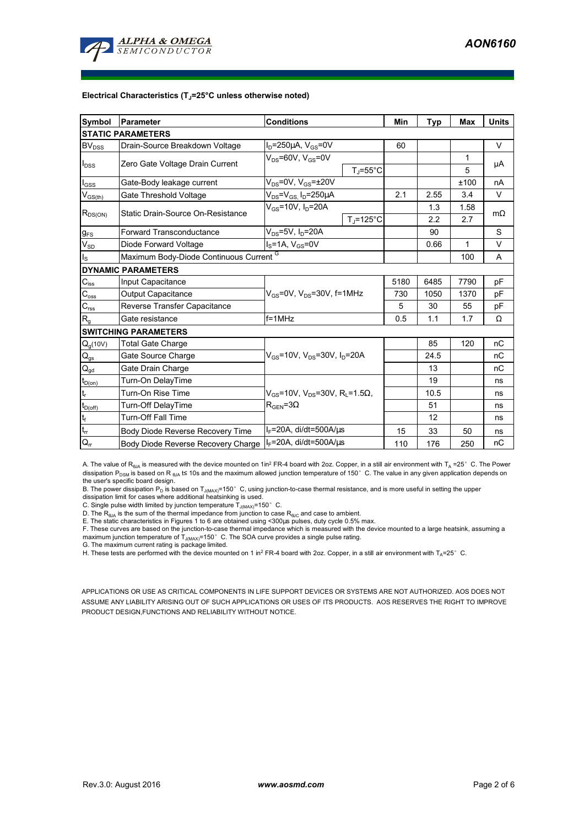

#### **Electrical Characteristics (TJ=25°C unless otherwise noted)**

| <b>Symbol</b>                          | <b>Conditions</b><br><b>Parameter</b>                                 |                                                                                                          |                   | Min  | Typ  | <b>Max</b> | <b>Units</b> |
|----------------------------------------|-----------------------------------------------------------------------|----------------------------------------------------------------------------------------------------------|-------------------|------|------|------------|--------------|
|                                        | <b>STATIC PARAMETERS</b>                                              |                                                                                                          |                   |      |      |            |              |
| $BV_{DSS}$                             | $I_D = 250 \mu A$ , $V_{GS} = 0V$<br>Drain-Source Breakdown Voltage   |                                                                                                          |                   | 60   |      |            | V            |
| $I_{DSS}$                              |                                                                       | $V_{DS}$ =60V, $V_{GS}$ =0V                                                                              |                   |      |      | 1          |              |
|                                        | Zero Gate Voltage Drain Current                                       |                                                                                                          | $T_{\rm J}$ =55°C |      |      | 5          | μA           |
| $I_{GSS}$                              | Gate-Body leakage current                                             | $V_{DS}$ =0V, $V_{GS}$ = $\pm$ 20V                                                                       |                   |      |      | ±100       | nA           |
| $V_{GS(th)}$                           | Gate Threshold Voltage                                                | $V_{DS} = V_{GS}$ , $I_D = 250 \mu A$                                                                    |                   | 2.1  | 2.55 | 3.4        | V            |
| $R_{DS(ON)}$                           | Static Drain-Source On-Resistance                                     | $V_{GS}$ =10V, $I_D$ =20A                                                                                |                   |      | 1.3  | 1.58       | $m\Omega$    |
|                                        |                                                                       |                                                                                                          | $T_J = 125$ °C    |      | 2.2  | 2.7        |              |
| $g_{FS}$                               | <b>Forward Transconductance</b>                                       | $V_{DS} = 5V$ , $I_D = 20A$                                                                              |                   |      | 90   |            | S            |
| $V_{SD}$                               | Diode Forward Voltage                                                 | $I_S = 1A$ , $V_{GS} = 0V$                                                                               |                   |      | 0.66 | 1          | $\vee$       |
| $I_{\rm S}$                            | Maximum Body-Diode Continuous Current G                               |                                                                                                          |                   |      |      | 100        | A            |
|                                        | <b>DYNAMIC PARAMETERS</b>                                             |                                                                                                          |                   |      |      |            |              |
| $\mathbf{C}_{\mathsf{iss}}$            | Input Capacitance                                                     | $V_{GS}$ =0V, $V_{DS}$ =30V, f=1MHz                                                                      |                   | 5180 | 6485 | 7790       | pF           |
| $C_{\rm oss}$                          | <b>Output Capacitance</b>                                             |                                                                                                          |                   | 730  | 1050 | 1370       | pF           |
| $\mathbf{C}_{\text{rss}}$              | Reverse Transfer Capacitance                                          |                                                                                                          |                   | 5    | 30   | 55         | pF           |
| $R_{g}$                                | Gate resistance                                                       | $f = 1$ MHz                                                                                              |                   | 0.5  | 1.1  | 1.7        | Ω            |
|                                        | <b>SWITCHING PARAMETERS</b>                                           |                                                                                                          |                   |      |      |            |              |
| $Q_g(10V)$                             | <b>Total Gate Charge</b>                                              | $V_{GS}$ =10V, $V_{DS}$ =30V, $I_D$ =20A                                                                 |                   |      | 85   | 120        | nC           |
| $\mathsf{Q}_{\text{gs}}$               | Gate Source Charge                                                    |                                                                                                          |                   |      | 24.5 |            | nC           |
| $\mathsf{Q}_{\underline{\mathsf{gd}}}$ | Gate Drain Charge                                                     |                                                                                                          |                   |      | 13   |            | nC           |
| $t_{D(0n)}$                            | Turn-On DelayTime                                                     | $V_{\text{GS}}$ =10V, V <sub>DS</sub> =30V, R <sub>1</sub> =1.5 $\Omega$ ,<br>$R_{\text{GFN}} = 3\Omega$ |                   |      | 19   |            | ns           |
| $t_r$                                  | Turn-On Rise Time                                                     |                                                                                                          |                   |      | 10.5 |            | ns           |
| $t_{D(off)}$                           | Turn-Off DelayTime                                                    |                                                                                                          |                   |      | 51   |            | ns           |
| $\mathbf{t}_\text{f}$                  | <b>Turn-Off Fall Time</b>                                             |                                                                                                          |                   |      | 12   |            | ns           |
| $t_{rr}$                               | Body Diode Reverse Recovery Time                                      | $I_F$ =20A, di/dt=500A/ $\mu$ s                                                                          |                   | 15   | 33   | 50         | ns           |
| $Q_{rr}$                               | $I_F$ =20A, di/dt=500A/ $\mu$ s<br>Body Diode Reverse Recovery Charge |                                                                                                          | 110               | 176  | 250  | nC         |              |

A. The value of R<sub>6JA</sub> is measured with the device mounted on 1in<sup>2</sup> FR-4 board with 2oz. Copper, in a still air environment with T<sub>A</sub> =25°C. The Power dissipation P<sub>DSM</sub> is based on R <sub>θJA</sub> t≤ 10s and the maximum allowed junction temperature of 150°C. The value in any given application depends on the user's specific board design.

B. The power dissipation P<sub>D</sub> is based on T<sub>J(MAX)</sub>=150°C, using junction-to-case thermal resistance, and is more useful in setting the upper<br>dissipation limit for cases where additional heatsinking is used.

C. Single pulse width limited by junction temperature  $T_{J(MAX)}$ =150°C.

D. The  $R_{\theta J\Delta}$  is the sum of the thermal impedance from junction to case  $R_{\theta JC}$  and case to ambient.

E. The static characteristics in Figures 1 to 6 are obtained using <300µs pulses, duty cycle 0.5% max.

F. These curves are based on the junction-to-case thermal impedance which is measured with the device mounted to a large heatsink, assuming a maximum junction temperature of  $T_{J(MAX)}$ =150°C. The SOA curve provides a single pulse rating.

G. The maximum current rating is package limited.

H. These tests are performed with the device mounted on 1 in<sup>2</sup> FR-4 board with 2oz. Copper, in a still air environment with T<sub>A</sub>=25°C.

APPLICATIONS OR USE AS CRITICAL COMPONENTS IN LIFE SUPPORT DEVICES OR SYSTEMS ARE NOT AUTHORIZED. AOS DOES NOT ASSUME ANY LIABILITY ARISING OUT OF SUCH APPLICATIONS OR USES OF ITS PRODUCTS. AOS RESERVES THE RIGHT TO IMPROVE PRODUCT DESIGN,FUNCTIONS AND RELIABILITY WITHOUT NOTICE.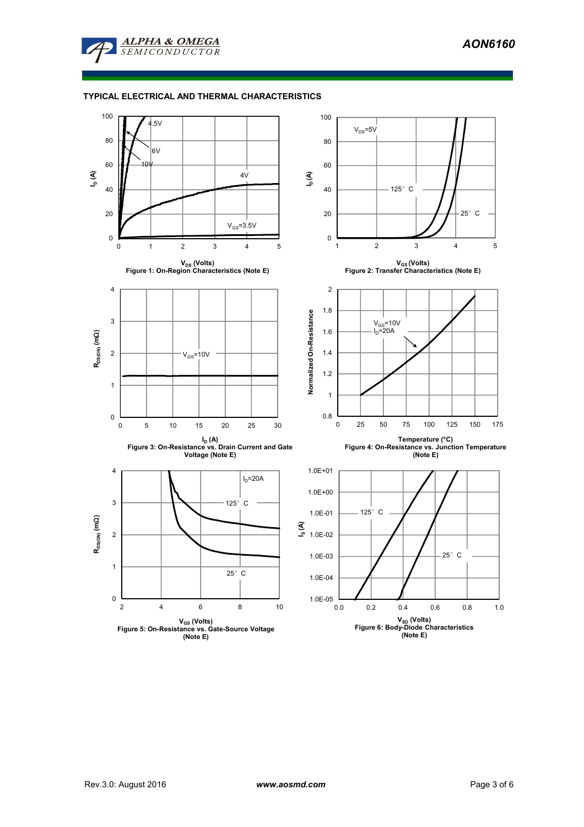

# **TYPICAL ELECTRICAL AND THERMAL CHARACTERISTICS**

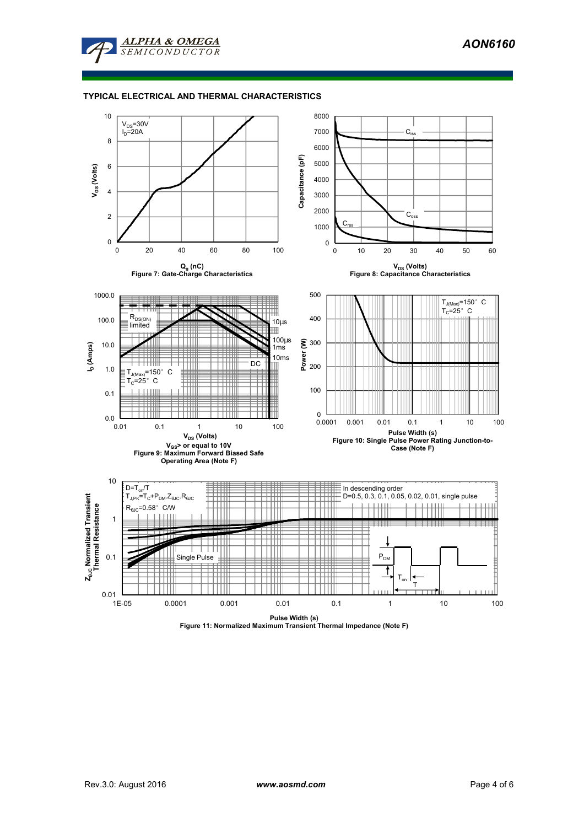

# **TYPICAL ELECTRICAL AND THERMAL CHARACTERISTICS**



**Pulse Width (s) Figure 11: Normalized Maximum Transient Thermal Impedance (Note F)**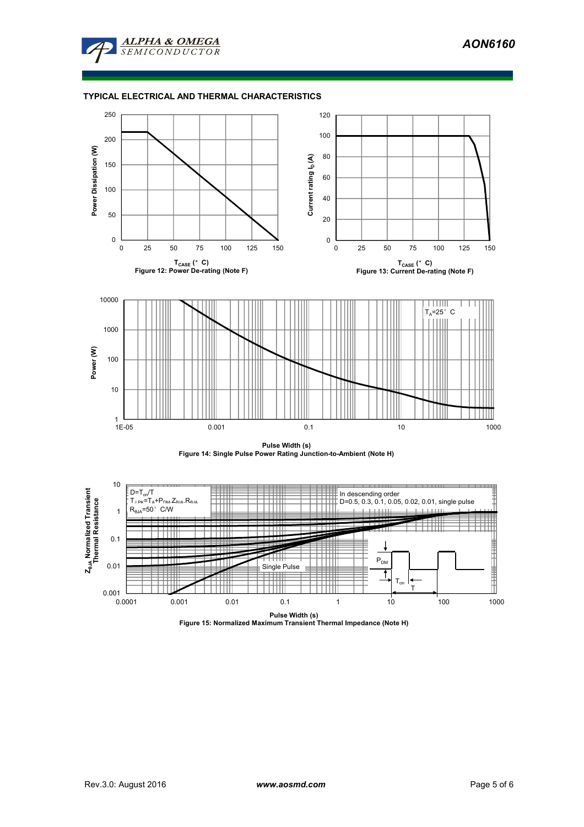

# **TYPICAL ELECTRICAL AND THERMAL CHARACTERISTICS**







**Pulse Width (s) Figure 15: Normalized Maximum Transient Thermal Impedance (Note H)**